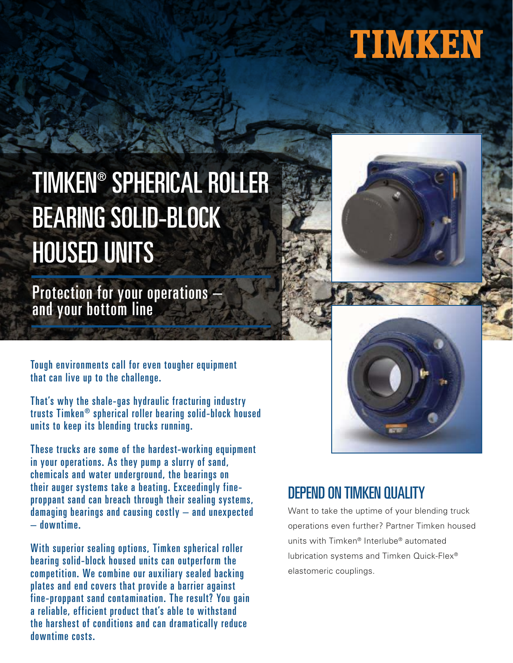## TIMKEN

### TIMKEN® SPHERICAL ROLLER BEARING SOLID-BLOCK HOUSED UNITS

Protection for your operations – and your bottom line

Tough environments call for even tougher equipment that can live up to the challenge.

That's why the shale-gas hydraulic fracturing industry trusts Timken® spherical roller bearing solid-block housed units to keep its blending trucks running.

These trucks are some of the hardest-working equipment in your operations. As they pump a slurry of sand, chemicals and water underground, the bearings on their auger systems take a beating. Exceedingly fineproppant sand can breach through their sealing systems, damaging bearings and causing costly – and unexpected – downtime.

With superior sealing options, Timken spherical roller bearing solid-block housed units can outperform the competition. We combine our auxiliary sealed backing plates and end covers that provide a barrier against fine-proppant sand contamination. The result? You gain a reliable, efficient product that's able to withstand the harshest of conditions and can dramatically reduce downtime costs.





### DEPEND ON TIMKEN QUALITY

Want to take the uptime of your blending truck operations even further? Partner Timken housed units with Timken® Interlube® automated lubrication systems and Timken Quick-Flex® elastomeric couplings.